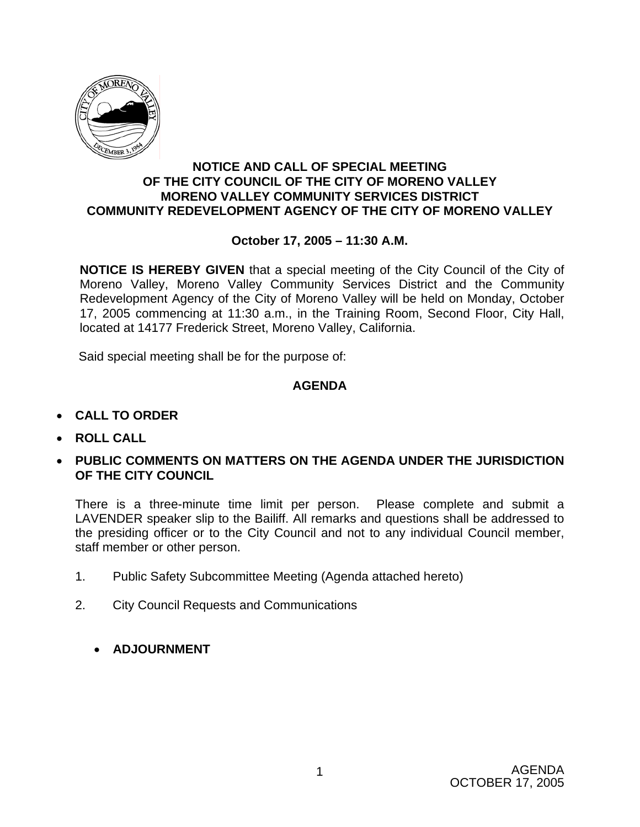

#### **NOTICE AND CALL OF SPECIAL MEETING OF THE CITY COUNCIL OF THE CITY OF MORENO VALLEY MORENO VALLEY COMMUNITY SERVICES DISTRICT COMMUNITY REDEVELOPMENT AGENCY OF THE CITY OF MORENO VALLEY**

### **October 17, 2005 – 11:30 A.M.**

**NOTICE IS HEREBY GIVEN** that a special meeting of the City Council of the City of Moreno Valley, Moreno Valley Community Services District and the Community Redevelopment Agency of the City of Moreno Valley will be held on Monday, October 17, 2005 commencing at 11:30 a.m., in the Training Room, Second Floor, City Hall, located at 14177 Frederick Street, Moreno Valley, California.

Said special meeting shall be for the purpose of:

## **AGENDA**

- **CALL TO ORDER**
- **ROLL CALL**
- **PUBLIC COMMENTS ON MATTERS ON THE AGENDA UNDER THE JURISDICTION OF THE CITY COUNCIL**

There is a three-minute time limit per person. Please complete and submit a LAVENDER speaker slip to the Bailiff. All remarks and questions shall be addressed to the presiding officer or to the City Council and not to any individual Council member, staff member or other person.

- 1. Public Safety Subcommittee Meeting (Agenda attached hereto)
- 2. City Council Requests and Communications
	- **ADJOURNMENT**